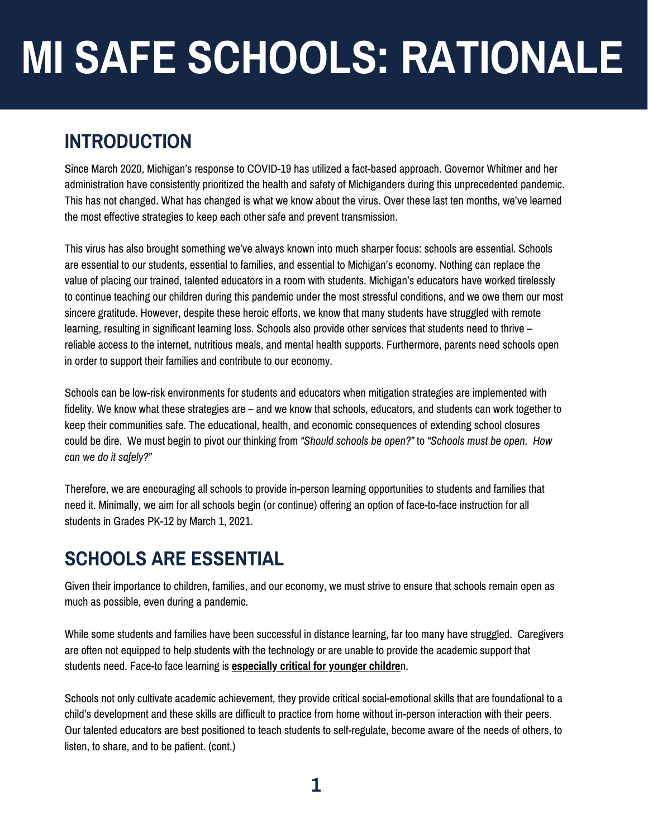## **INTRODUCTION**

Since March 2020, Michigan's response to COVID-19 has utilized a fact-based approach. Governor Whitmer and her administration have consistently prioritized the health and safety of Michiganders during this unprecedented pandemic. This has not changed. What has changed is what we know about the virus. Over these last ten months, we've learned the most effective strategies to keep each other safe and prevent transmission.

This virus has also brought something we've always known into much sharper focus: schools are essential. Schools are essential to our students, essential to families, and essential to Michigan's economy. Nothing can replace the value of placing our trained, talented educators in a room with students. Michigan's educators have worked tirelessly to continue teaching our children during this pandemic under the most stressful conditions, and we owe them our most sincere gratitude. However, despite these heroic efforts, we know that many students have struggled with remote learning, resulting in significant learning loss. Schools also provide other services that students need to thrive – reliable access to the internet, nutritious meals, and mental health supports. Furthermore, parents need schools open in order to support their families and contribute to our economy.

Schools can be low-risk environments for students and educators when mitigation strategies are implemented with fidelity. We know what these strategies are – and we know that schools, educators, and students can work together to keep their communities safe. The educational, health, and economic consequences of extending school closures could be dire. We must begin to pivot our thinking from *"Should schools be open?"* to *"Schools must be open. How can we do it safely?"*

Therefore, we are encouraging all schools to provide in-person learning opportunities to students and families that need it. Minimally, we aim for all schools begin (or continue) offering an option of face-to-face instruction for all students in Grades PK-12 by March 1, 2021.

### **SCHOOLS ARE ESSENTIAL**

Given their importance to children, families, and our economy, we must strive to ensure that schools remain open as much as possible, even during a pandemic.

While some students and families have been successful in distance learning, far too many have struggled. Caregivers are often not equipped to help students with the technology or are unable to provide the academic support that students need. Face-to face learning is **[especially](https://www.annenberginstitute.org/school/categories/student-learning#927) critical for younger childre**n.

Schools not only cultivate academic achievement, they provide critical social-emotional skills that are foundational to a child's development and these skills are difficult to practice from home without in-person interaction with their peers. Our talented educators are best positioned to teach students to self-regulate, become aware of the needs of others, to listen, to share, and to be patient. (cont.)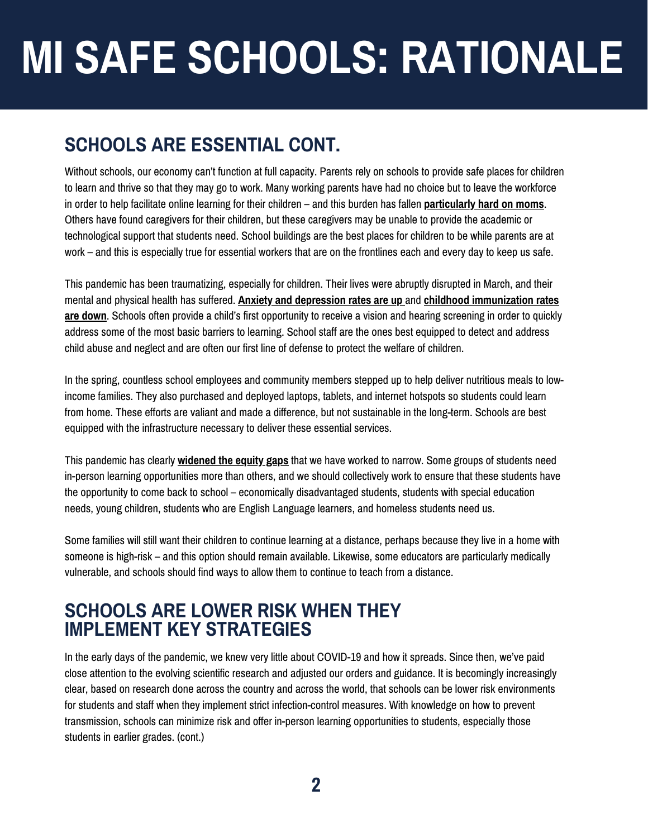## **SCHOOLS ARE ESSENTIAL CONT.**

Without schools, our economy can't function at full capacity. Parents rely on schools to provide safe places for children to learn and thrive so that they may go to work. Many working parents have had no choice but to leave the workforce in order to help facilitate online learning for their children – and this burden has fallen **[particularly](https://pressroom.usc.edu/covid-19-pandemic-has-hit-women-hard-especially-working-mothers/) hard on moms**. Others have found caregivers for their children, but these caregivers may be unable to provide the academic or technological support that students need. School buildings are the best places for children to be while parents are at work – and this is especially true for essential workers that are on the frontlines each and every day to keep us safe.

This pandemic has been traumatizing, especially for children. Their lives were abruptly disrupted in March, and their mental and physical health has suffered. **Anxiety and [depression](https://www.ncbi.nlm.nih.gov/pmc/articles/PMC7267797/) rates are up** and **childhood [immunization](https://www.cdc.gov/mmwr/volumes/69/wr/mm6920e1.htm) rates are down**. Schools often provide a child's first opportunity to receive a vision and hearing screening in order to quickly address some of the most basic barriers to learning. School staff are the ones best equipped to detect and address child abuse and neglect and are often our first line of defense to protect the welfare of children.

In the spring, countless school employees and community members stepped up to help deliver nutritious meals to lowincome families. They also purchased and deployed laptops, tablets, and internet hotspots so students could learn from home. These efforts are valiant and made a difference, but not sustainable in the long-term. Schools are best equipped with the infrastructure necessary to deliver these essential services.

This pandemic has clearly **[widened](https://www.edweek.org/technology/the-disparities-in-remote-learning-under-coronavirus-in-charts/2020/04) the equity gaps** that we have worked to narrow. Some groups of students need in-person learning opportunities more than others, and we should collectively work to ensure that these students have the opportunity to come back to school – economically disadvantaged students, students with special education needs, young children, students who are English Language learners, and homeless students need us.

Some families will still want their children to continue learning at a distance, perhaps because they live in a home with someone is high-risk – and this option should remain available. Likewise, some educators are particularly medically vulnerable, and schools should find ways to allow them to continue to teach from a distance.

#### **SCHOOLS ARE LOWER RISK WHEN THEY IMPLEMENT KEY STRATEGIES**

In the early days of the pandemic, we knew very little about COVID-19 and how it spreads. Since then, we've paid close attention to the evolving scientific research and adjusted our orders and guidance. It is becomingly increasingly clear, based on research done across the country and across the world, that schools can be lower risk environments for students and staff when they implement strict infection-control measures. With knowledge on how to prevent transmission, schools can minimize risk and offer in-person learning opportunities to students, especially those students in earlier grades. (cont.)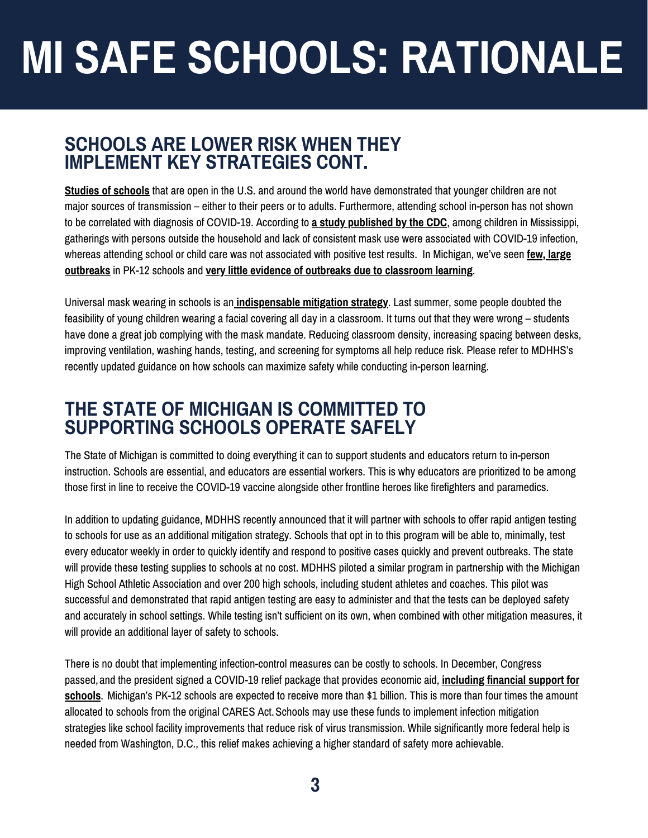#### **SCHOOLS ARE LOWER RISK WHEN THEY IMPLEMENT KEY STRATEGIES CONT.**

**Studies of [schools](https://www.reachcentered.org/publications/the-effects-of-school-reopenings-on-covid-19-hospitalizations)** that are open in the U.S. and around the world have demonstrated that younger children are not major sources of transmission – either to their peers or to adults. Furthermore, attending school in-person has not shown to be correlated with diagnosis of COVID-19. According to **a study [published](https://www.cdc.gov/mmwr/volumes/69/wr/mm6950e3.htm) by the CDC**, among children in Mississippi, gatherings with persons outside the household and lack of consistent mask use were associated with COVID-19 infection, whereas attending school or child care was not associated with positive test results. In Michigan, we've seen **few, large outbreaks** in PK-12 schools and **very little evidence of outbreaks due to [classroom](https://www.cdc.gov/mmwr/volumes/69/wr/mm6950e3.htm) learning**.

Universal mask wearing in schools is an **[indispensable](https://www.cdc.gov/coronavirus/2019-ncov/community/schools-childcare/cloth-face-cover.html) mitigation strategy**. Last summer, some people doubted the feasibility of young children wearing a facial covering all day in a classroom. It turns out that they were wrong – students have done a great job complying with the mask mandate. Reducing classroom density, increasing spacing between desks, improving ventilation, washing hands, testing, and screening for symptoms all help reduce risk. Please refer to MDHHS's recently updated guidance on how schools can maximize safety while conducting in-person learning.

#### **THE STATE OF MICHIGAN IS COMMITTED TO SUPPORTING SCHOOLS OPERATE SAFELY**

The State of Michigan is committed to doing everything it can to support students and educators return to in-person instruction. Schools are essential, and educators are essential workers. This is why educators are prioritized to be among those first in line to receive the COVID-19 vaccine alongside other frontline heroes like firefighters and paramedics.

In addition to updating guidance, MDHHS recently announced that it will partner with schools to offer rapid antigen testing to schools for use as an additional mitigation strategy. Schools that opt in to this program will be able to, minimally, test every educator weekly in order to quickly identify and respond to positive cases quickly and prevent outbreaks. The state will provide these testing supplies to schools at no cost. MDHHS piloted a similar program in partnership with the Michigan High School Athletic Association and over 200 high schools, including student athletes and coaches. This pilot was successful and demonstrated that rapid antigen testing are easy to administer and that the tests can be deployed safety and accurately in school settings. While testing isn't sufficient on its own, when combined with other mitigation measures, it will provide an additional layer of safety to schools.

There is no doubt that implementing infection-control measures can be costly to schools. In December, Congress [passed,and](https://www.edweek.org/policy-politics/k-12-schools-get-57-billion-in-covid-19-deal-but-no-state-and-local-government-relief/2020/12) the president signed a COVID-19 relief package that provides economic aid, **including financial support for schools**. Michigan's PK-12 schools are expected to receive more than \$1 billion. This is more than four times the amount allocated to schools from the original CARES Act.Schools may use these funds to implement infection mitigation strategies like school facility improvements that reduce risk of virus transmission. While significantly more federal help is needed from Washington, D.C., this relief makes achieving a higher standard of safety more achievable.